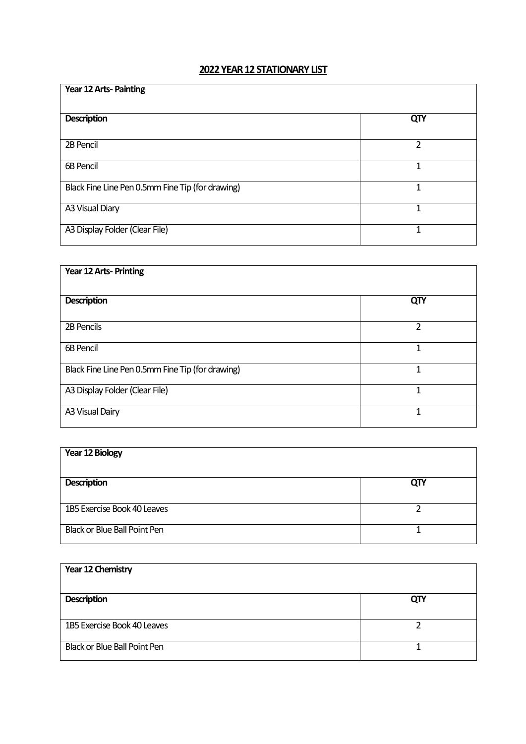## **2022 YEAR 12 STATIONARY LIST**

| Year 12 Arts-Painting                            |     |
|--------------------------------------------------|-----|
| <b>Description</b>                               | QTY |
| 2B Pencil                                        | 2   |
| <b>6B Pencil</b>                                 | 1   |
| Black Fine Line Pen 0.5mm Fine Tip (for drawing) | 1   |
| A3 Visual Diary                                  | 1   |
| A3 Display Folder (Clear File)                   | 1   |

| Year 12 Arts-Printing                            |     |
|--------------------------------------------------|-----|
| <b>Description</b>                               | QTY |
| 2B Pencils                                       | 2   |
| 6B Pencil                                        |     |
| Black Fine Line Pen 0.5mm Fine Tip (for drawing) |     |
| A3 Display Folder (Clear File)                   |     |
| A3 Visual Dairy                                  | 1   |

| <b>Year 12 Biology</b>       |     |
|------------------------------|-----|
| <b>Description</b>           | QTY |
| 1B5 Exercise Book 40 Leaves  |     |
| Black or Blue Ball Point Pen |     |

| Year 12 Chemistry                   |     |
|-------------------------------------|-----|
| <b>Description</b>                  | QTY |
| 1B5 Exercise Book 40 Leaves         |     |
| <b>Black or Blue Ball Point Pen</b> |     |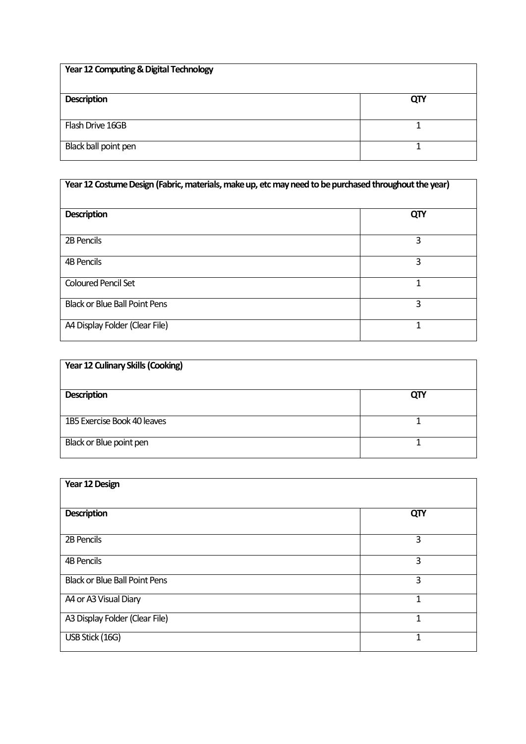| Year 12 Computing & Digital Technology |     |
|----------------------------------------|-----|
| <b>Description</b>                     | QTY |
| Flash Drive 16GB                       |     |
| Black ball point pen                   |     |

| Year 12 Costume Design (Fabric, materials, make up, etc may need to be purchased throughout the year) |     |
|-------------------------------------------------------------------------------------------------------|-----|
| <b>Description</b>                                                                                    | QTY |
| 2B Pencils                                                                                            | 3   |
| 4B Pencils                                                                                            | 3   |
| <b>Coloured Pencil Set</b>                                                                            | 1   |
| <b>Black or Blue Ball Point Pens</b>                                                                  | 3   |
| A4 Display Folder (Clear File)                                                                        | 1   |

| <b>Year 12 Culinary Skills (Cooking)</b> |     |
|------------------------------------------|-----|
| <b>Description</b>                       | QTY |
| 1B5 Exercise Book 40 leaves              |     |
| Black or Blue point pen                  |     |

| Year 12 Design                       |     |
|--------------------------------------|-----|
| <b>Description</b>                   | QTY |
| 2B Pencils                           | 3   |
| <b>4B Pencils</b>                    | 3   |
| <b>Black or Blue Ball Point Pens</b> | 3   |
| A4 or A3 Visual Diary                | 1   |
| A3 Display Folder (Clear File)       | 1   |
| USB Stick (16G)                      | 1   |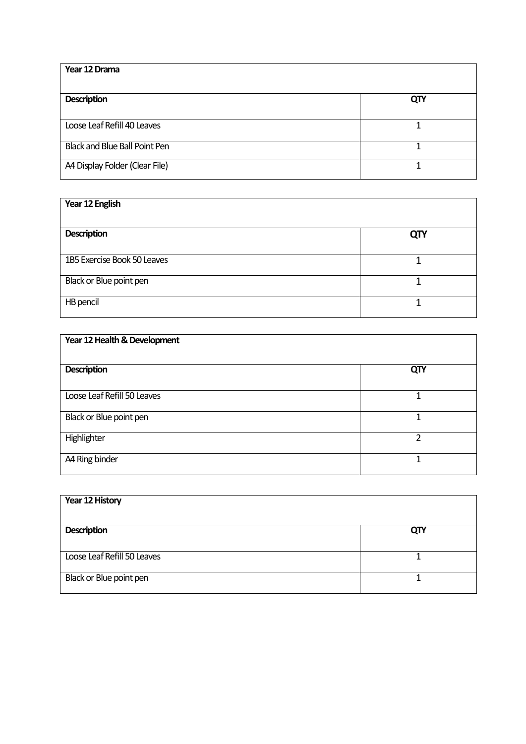| Year 12 Drama                        |     |
|--------------------------------------|-----|
| <b>Description</b>                   | QTY |
| Loose Leaf Refill 40 Leaves          |     |
| <b>Black and Blue Ball Point Pen</b> |     |
| A4 Display Folder (Clear File)       |     |

| Year 12 English             |            |
|-----------------------------|------------|
| <b>Description</b>          | <b>QTY</b> |
| 1B5 Exercise Book 50 Leaves |            |
| Black or Blue point pen     |            |
| HB pencil                   |            |

| Year 12 Health & Development |     |
|------------------------------|-----|
| <b>Description</b>           | QTY |
| Loose Leaf Refill 50 Leaves  | 1   |
| Black or Blue point pen      |     |
| Highlighter                  | 2   |
| A4 Ring binder               | 1   |

| Year 12 History             |     |
|-----------------------------|-----|
| <b>Description</b>          | QTY |
| Loose Leaf Refill 50 Leaves |     |
| Black or Blue point pen     |     |